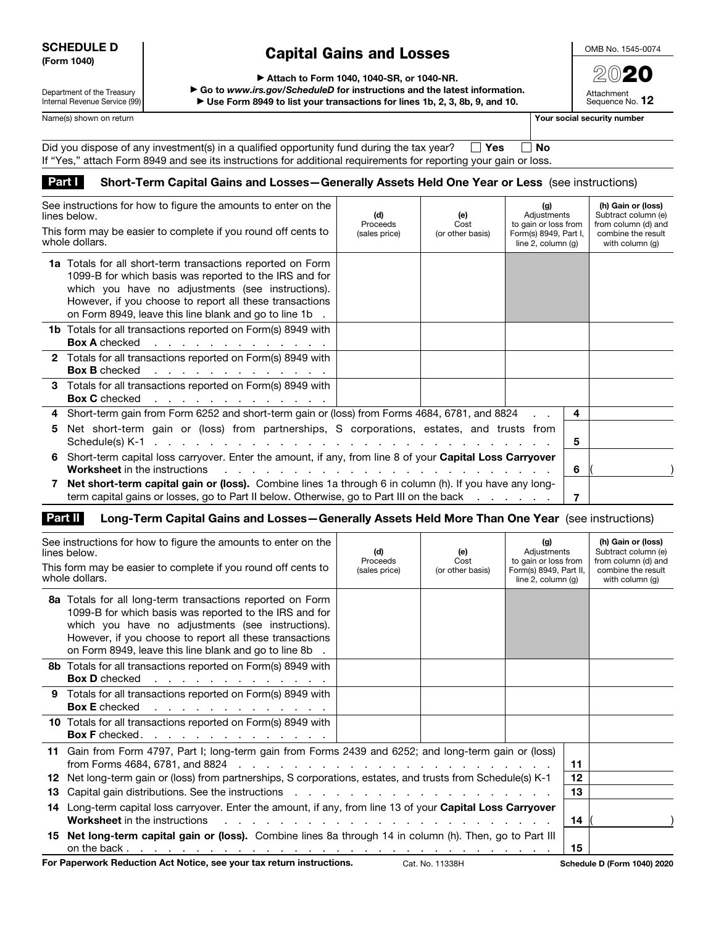## SCHEDULE D (Form 1040)

## Capital Gains and Losses

OMB No. 1545-0074 2020

Attachment Sequence No. 12

Department of the Treasury Internal Revenue Service (99) ▶ Attach to Form 1040, 1040-SR, or 1040-NR.

▶ Go to *www.irs.gov/ScheduleD* for instructions and the latest information. ▶ Use Form 8949 to list your transactions for lines 1b, 2, 3, 8b, 9, and 10.

Name(s) shown on return **Your social security number Your social security number** 

| Did you dispose of any investment(s) in a qualified opportunity fund during the tax year? $\square$ Yes          | ∣ I No |
|------------------------------------------------------------------------------------------------------------------|--------|
| If "Yes," attach Form 8949 and see its instructions for additional requirements for reporting your gain or loss. |        |

## Part I Short-Term Capital Gains and Losses - Generally Assets Held One Year or Less (see instructions)

| See instructions for how to figure the amounts to enter on the<br>lines below.<br>This form may be easier to complete if you round off cents to<br>whole dollars.                                                                                                                              | (d)<br>Proceeds<br>(sales price) | (e)<br>Cost<br>(or other basis) | (g)<br>Adjustments<br>to gain or loss from<br>Form(s) 8949, Part I,<br>line $2$ , column $(q)$ |   | (h) Gain or (loss)<br>Subtract column (e)<br>from column (d) and<br>combine the result<br>with column (q) |
|------------------------------------------------------------------------------------------------------------------------------------------------------------------------------------------------------------------------------------------------------------------------------------------------|----------------------------------|---------------------------------|------------------------------------------------------------------------------------------------|---|-----------------------------------------------------------------------------------------------------------|
| 1a Totals for all short-term transactions reported on Form<br>1099-B for which basis was reported to the IRS and for<br>which you have no adjustments (see instructions).<br>However, if you choose to report all these transactions<br>on Form 8949, leave this line blank and go to line 1b. |                                  |                                 |                                                                                                |   |                                                                                                           |
| <b>1b</b> Totals for all transactions reported on Form(s) 8949 with<br><b>Box A</b> checked<br>the contract of the contract of the contract of                                                                                                                                                 |                                  |                                 |                                                                                                |   |                                                                                                           |
| 2 Totals for all transactions reported on Form(s) 8949 with<br><b>Box B</b> checked                                                                                                                                                                                                            |                                  |                                 |                                                                                                |   |                                                                                                           |
| 3 Totals for all transactions reported on Form(s) 8949 with<br><b>Box C</b> checked<br>the contract of the contract of the contract of                                                                                                                                                         |                                  |                                 |                                                                                                |   |                                                                                                           |
| Short-term gain from Form 6252 and short-term gain or (loss) from Forms 4684, 6781, and 8824<br>4                                                                                                                                                                                              |                                  |                                 |                                                                                                | 4 |                                                                                                           |
| Net short-term gain or (loss) from partnerships, S corporations, estates, and trusts from<br>5                                                                                                                                                                                                 |                                  |                                 |                                                                                                | 5 |                                                                                                           |
| Short-term capital loss carryover. Enter the amount, if any, from line 8 of your Capital Loss Carryover<br>6.<br><b>Worksheet</b> in the instructions<br>the contract of the contract of the contract of the contract of the contract of the contract of the contract of                       |                                  |                                 |                                                                                                | 6 |                                                                                                           |
| Net short-term capital gain or (loss). Combine lines 1a through 6 in column (h). If you have any long-<br>term capital gains or losses, go to Part II below. Otherwise, go to Part III on the back                                                                                             |                                  |                                 |                                                                                                | 7 |                                                                                                           |

## Part II Long-Term Capital Gains and Losses-Generally Assets Held More Than One Year (see instructions)

|          | See instructions for how to figure the amounts to enter on the<br>lines below.<br>This form may be easier to complete if you round off cents to<br>whole dollars.                                                                                                                                                                                                                                                                                   | (d)<br>Proceeds<br>(sales price) | (e)<br>Cost<br>(or other basis) | (g)<br>Adjustments<br>to gain or loss from<br>Form(s) 8949, Part II,<br>line $2$ , column $(q)$ |          | (h) Gain or (loss)<br>Subtract column (e)<br>from column (d) and<br>combine the result<br>with column (q) |
|----------|-----------------------------------------------------------------------------------------------------------------------------------------------------------------------------------------------------------------------------------------------------------------------------------------------------------------------------------------------------------------------------------------------------------------------------------------------------|----------------------------------|---------------------------------|-------------------------------------------------------------------------------------------------|----------|-----------------------------------------------------------------------------------------------------------|
|          | 8a Totals for all long-term transactions reported on Form<br>1099-B for which basis was reported to the IRS and for<br>which you have no adjustments (see instructions).<br>However, if you choose to report all these transactions<br>on Form 8949, leave this line blank and go to line 8b.                                                                                                                                                       |                                  |                                 |                                                                                                 |          |                                                                                                           |
|          | <b>8b</b> Totals for all transactions reported on Form(s) 8949 with<br>Box D checked                                                                                                                                                                                                                                                                                                                                                                |                                  |                                 |                                                                                                 |          |                                                                                                           |
|          | 9 Totals for all transactions reported on Form(s) 8949 with<br><b>Box E</b> checked<br>the contract of the contract of the contract of                                                                                                                                                                                                                                                                                                              |                                  |                                 |                                                                                                 |          |                                                                                                           |
|          | 10 Totals for all transactions reported on Form(s) 8949 with<br>Box F checked.                                                                                                                                                                                                                                                                                                                                                                      |                                  |                                 |                                                                                                 |          |                                                                                                           |
| 12<br>13 | 11 Gain from Form 4797, Part I; long-term gain from Forms 2439 and 6252; and long-term gain or (loss)<br>Net long-term gain or (loss) from partnerships, S corporations, estates, and trusts from Schedule(s) K-1<br>Capital gain distributions. See the instructions enter the contract of the contract of the contract of the contract of the contract of the contract of the contract of the contract of the contract of the contract of the con |                                  |                                 |                                                                                                 |          |                                                                                                           |
|          | 14 Long-term capital loss carryover. Enter the amount, if any, from line 13 of your Capital Loss Carryover<br><b>Worksheet</b> in the instructions<br>a construction of the construction of the construction of the construction of the construction of the construction of the construction of the construction of the construction of the construction of the construction of the                                                                 |                                  |                                 |                                                                                                 | 13<br>14 |                                                                                                           |
|          | 15 Net long-term capital gain or (loss). Combine lines 8a through 14 in column (h). Then, go to Part III                                                                                                                                                                                                                                                                                                                                            |                                  |                                 |                                                                                                 | 15       |                                                                                                           |